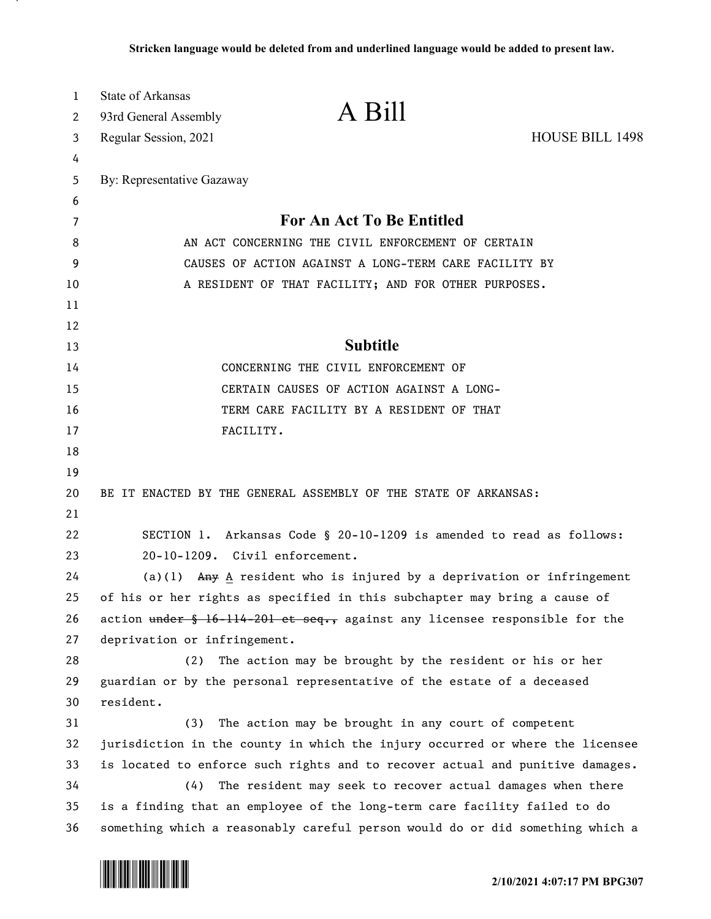| $\mathbf{1}$ | <b>State of Arkansas</b>                                                            |                                                                 |                        |
|--------------|-------------------------------------------------------------------------------------|-----------------------------------------------------------------|------------------------|
| 2            | 93rd General Assembly                                                               | A Bill                                                          |                        |
| 3            | Regular Session, 2021                                                               |                                                                 | <b>HOUSE BILL 1498</b> |
| 4            |                                                                                     |                                                                 |                        |
| 5            | By: Representative Gazaway                                                          |                                                                 |                        |
| 6            |                                                                                     |                                                                 |                        |
| 7            | For An Act To Be Entitled                                                           |                                                                 |                        |
| 8            | AN ACT CONCERNING THE CIVIL ENFORCEMENT OF CERTAIN                                  |                                                                 |                        |
| 9            | CAUSES OF ACTION AGAINST A LONG-TERM CARE FACILITY BY                               |                                                                 |                        |
| 10           | A RESIDENT OF THAT FACILITY; AND FOR OTHER PURPOSES.                                |                                                                 |                        |
| 11           |                                                                                     |                                                                 |                        |
| 12           |                                                                                     |                                                                 |                        |
| 13           | <b>Subtitle</b>                                                                     |                                                                 |                        |
| 14           | CONCERNING THE CIVIL ENFORCEMENT OF                                                 |                                                                 |                        |
| 15           | CERTAIN CAUSES OF ACTION AGAINST A LONG-                                            |                                                                 |                        |
| 16           | TERM CARE FACILITY BY A RESIDENT OF THAT                                            |                                                                 |                        |
| 17           | FACILITY.                                                                           |                                                                 |                        |
| 18           |                                                                                     |                                                                 |                        |
| 19           |                                                                                     |                                                                 |                        |
| 20           |                                                                                     | BE IT ENACTED BY THE GENERAL ASSEMBLY OF THE STATE OF ARKANSAS: |                        |
| 21           |                                                                                     |                                                                 |                        |
| 22           | SECTION 1. Arkansas Code § 20-10-1209 is amended to read as follows:                |                                                                 |                        |
| 23           | 20-10-1209. Civil enforcement.                                                      |                                                                 |                        |
| 24           | (a)(1) Any $\underline{A}$ resident who is injured by a deprivation or infringement |                                                                 |                        |
| 25           | of his or her rights as specified in this subchapter may bring a cause of           |                                                                 |                        |
| 26           | action under § 16-114-201 et seq., against any licensee responsible for the         |                                                                 |                        |
| 27           | deprivation or infringement.                                                        |                                                                 |                        |
| 28           | (2)                                                                                 | The action may be brought by the resident or his or her         |                        |
| 29           | guardian or by the personal representative of the estate of a deceased              |                                                                 |                        |
| 30           | resident.                                                                           |                                                                 |                        |
| 31           | (3)                                                                                 | The action may be brought in any court of competent             |                        |
| 32           | jurisdiction in the county in which the injury occurred or where the licensee       |                                                                 |                        |
| 33           | is located to enforce such rights and to recover actual and punitive damages.       |                                                                 |                        |
| 34           | (4)<br>The resident may seek to recover actual damages when there                   |                                                                 |                        |
| 35           | is a finding that an employee of the long-term care facility failed to do           |                                                                 |                        |
| 36           | something which a reasonably careful person would do or did something which a       |                                                                 |                        |